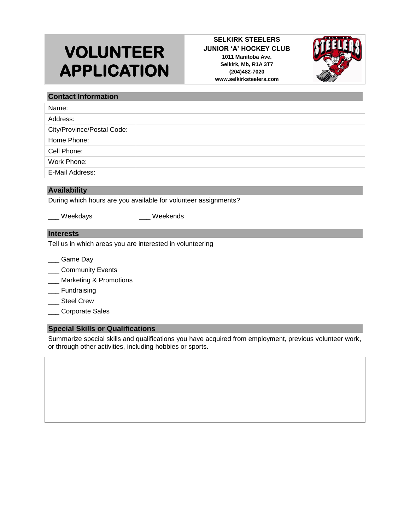# **VOLUNTEER APPLICATION**

#### **SELKIRK STEELERS JUNIOR 'A' HOCKEY CLUB 1011 Manitoba Ave. Selkirk, Mb, R1A 3T7 (204)482-7020 www.selkirksteelers.com**



### **Contact Information**

| Name:                      |  |
|----------------------------|--|
| Address:                   |  |
| City/Province/Postal Code: |  |
| Home Phone:                |  |
| Cell Phone:                |  |
| Work Phone:                |  |
| E-Mail Address:            |  |

#### **Availability**

During which hours are you available for volunteer assignments?

Weekdays \_\_\_\_ Weekends

# **Interests**

Tell us in which areas you are interested in volunteering

- \_\_\_ Game Day
- \_\_\_ Community Events
- \_\_\_ Marketing & Promotions
- \_\_\_ Fundraising
- \_\_\_ Steel Crew
- \_\_\_ Corporate Sales

## **Special Skills or Qualifications**

Summarize special skills and qualifications you have acquired from employment, previous volunteer work, or through other activities, including hobbies or sports.